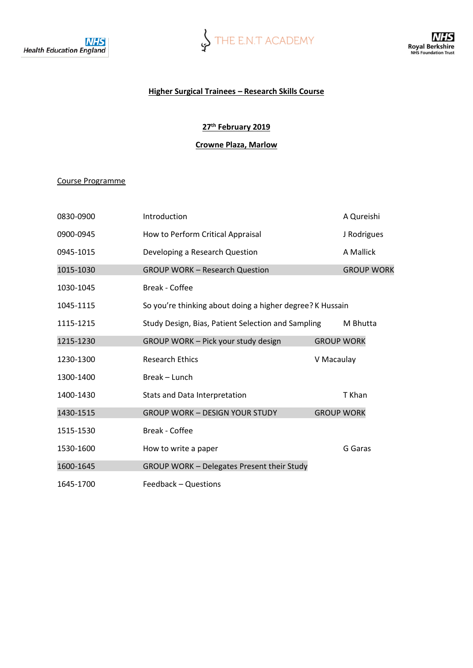

### **Higher Surgical Trainees – Research Skills Course**

# **27th February 2019**

## **Crowne Plaza, Marlow**

### Course Programme

| 0830-0900 | Introduction                                              | A Qureishi        |                   |
|-----------|-----------------------------------------------------------|-------------------|-------------------|
| 0900-0945 | How to Perform Critical Appraisal                         |                   | J Rodrigues       |
| 0945-1015 | Developing a Research Question                            |                   | A Mallick         |
| 1015-1030 | <b>GROUP WORK - Research Question</b>                     |                   | <b>GROUP WORK</b> |
| 1030-1045 | <b>Break - Coffee</b>                                     |                   |                   |
| 1045-1115 | So you're thinking about doing a higher degree? K Hussain |                   |                   |
| 1115-1215 | Study Design, Bias, Patient Selection and Sampling        |                   | M Bhutta          |
| 1215-1230 | GROUP WORK - Pick your study design                       | <b>GROUP WORK</b> |                   |
| 1230-1300 | <b>Research Ethics</b>                                    | V Macaulay        |                   |
| 1300-1400 | Break - Lunch                                             |                   |                   |
| 1400-1430 | Stats and Data Interpretation                             |                   | T Khan            |
| 1430-1515 | <b>GROUP WORK - DESIGN YOUR STUDY</b>                     | <b>GROUP WORK</b> |                   |
| 1515-1530 | Break - Coffee                                            |                   |                   |
| 1530-1600 | How to write a paper                                      |                   | G Garas           |
| 1600-1645 | <b>GROUP WORK - Delegates Present their Study</b>         |                   |                   |
| 1645-1700 | Feedback - Questions                                      |                   |                   |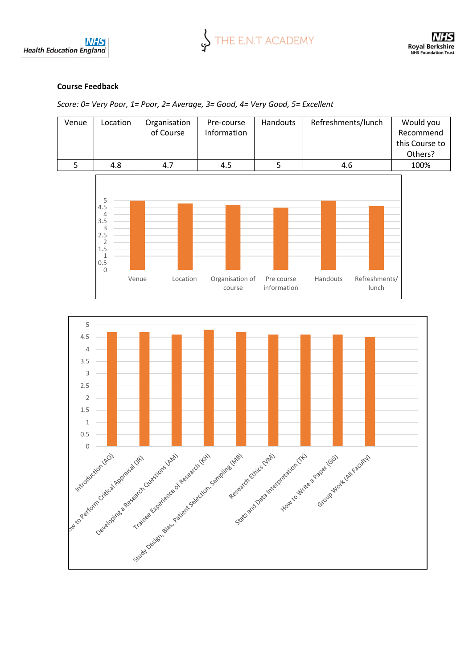



## **Course Feedback**

*Score: 0= Very Poor, 1= Poor, 2= Average, 3= Good, 4= Very Good, 5= Excellent*

| Venue | Location | Organisation<br>of Course | Pre-course<br>Information | Handouts | Refreshments/lunch | Would you<br>Recommend<br>this Course to<br>Others? |
|-------|----------|---------------------------|---------------------------|----------|--------------------|-----------------------------------------------------|
|       | 4.8      | 4.7                       | 4.5                       |          | 4.6                | 100%                                                |